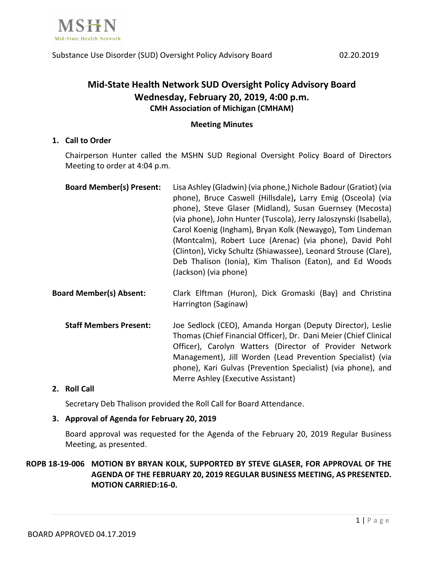

# **Mid-State Health Network SUD Oversight Policy Advisory Board Wednesday, February 20, 2019, 4:00 p.m. CMH Association of Michigan (CMHAM)**

#### **Meeting Minutes**

### **1. Call to Order**

Chairperson Hunter called the MSHN SUD Regional Oversight Policy Board of Directors Meeting to order at 4:04 p.m.

| <b>Board Member(s) Present:</b> | Lisa Ashley (Gladwin) (via phone,) Nichole Badour (Gratiot) (via  |
|---------------------------------|-------------------------------------------------------------------|
|                                 | phone), Bruce Caswell (Hillsdale), Larry Emig (Osceola) (via      |
|                                 | phone), Steve Glaser (Midland), Susan Guernsey (Mecosta)          |
|                                 | (via phone), John Hunter (Tuscola), Jerry Jaloszynski (Isabella), |
|                                 | Carol Koenig (Ingham), Bryan Kolk (Newaygo), Tom Lindeman         |
|                                 | (Montcalm), Robert Luce (Arenac) (via phone), David Pohl          |
|                                 | (Clinton), Vicky Schultz (Shiawassee), Leonard Strouse (Clare),   |
|                                 | Deb Thalison (Ionia), Kim Thalison (Eaton), and Ed Woods          |
|                                 | (Jackson) (via phone)                                             |

- **Board Member(s) Absent:** Clark Elftman (Huron), Dick Gromaski (Bay) and Christina Harrington (Saginaw)
	- **Staff Members Present:** Joe Sedlock (CEO), Amanda Horgan (Deputy Director), Leslie Thomas (Chief Financial Officer), Dr. Dani Meier (Chief Clinical Officer), Carolyn Watters (Director of Provider Network Management), Jill Worden (Lead Prevention Specialist) (via phone), Kari Gulvas (Prevention Specialist) (via phone), and Merre Ashley (Executive Assistant)

### **2. Roll Call**

Secretary Deb Thalison provided the Roll Call for Board Attendance.

#### **3. Approval of Agenda for February 20, 2019**

Board approval was requested for the Agenda of the February 20, 2019 Regular Business Meeting, as presented.

# **ROPB 18-19-006 MOTION BY BRYAN KOLK, SUPPORTED BY STEVE GLASER, FOR APPROVAL OF THE AGENDA OF THE FEBRUARY 20, 2019 REGULAR BUSINESS MEETING, AS PRESENTED. MOTION CARRIED:16-0.**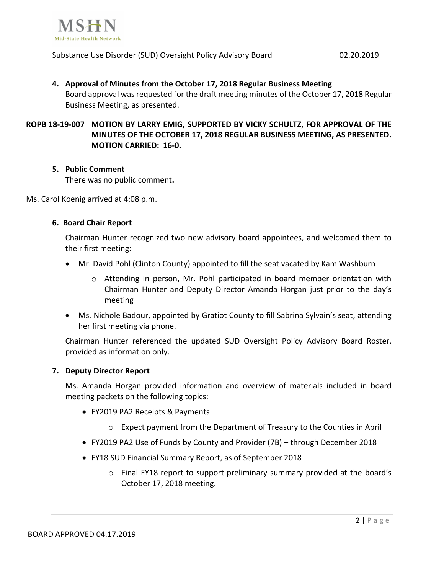

#### Substance Use Disorder (SUD) Oversight Policy Advisory Board 02.20.2019

# **4. Approval of Minutes from the October 17, 2018 Regular Business Meeting** Board approval was requested for the draft meeting minutes of the October 17, 2018 Regular Business Meeting, as presented.

# **ROPB 18-19-007 MOTION BY LARRY EMIG, SUPPORTED BY VICKY SCHULTZ, FOR APPROVAL OF THE MINUTES OF THE OCTOBER 17, 2018 REGULAR BUSINESS MEETING, AS PRESENTED. MOTION CARRIED: 16-0.**

### **5. Public Comment**

There was no public comment**.**

Ms. Carol Koenig arrived at 4:08 p.m.

### **6. Board Chair Report**

Chairman Hunter recognized two new advisory board appointees, and welcomed them to their first meeting:

- Mr. David Pohl (Clinton County) appointed to fill the seat vacated by Kam Washburn
	- o Attending in person, Mr. Pohl participated in board member orientation with Chairman Hunter and Deputy Director Amanda Horgan just prior to the day's meeting
- Ms. Nichole Badour, appointed by Gratiot County to fill Sabrina Sylvain's seat, attending her first meeting via phone.

Chairman Hunter referenced the updated SUD Oversight Policy Advisory Board Roster, provided as information only.

#### **7. Deputy Director Report**

Ms. Amanda Horgan provided information and overview of materials included in board meeting packets on the following topics:

- FY2019 PA2 Receipts & Payments
	- o Expect payment from the Department of Treasury to the Counties in April
- FY2019 PA2 Use of Funds by County and Provider (7B) through December 2018
- FY18 SUD Financial Summary Report, as of September 2018
	- o Final FY18 report to support preliminary summary provided at the board's October 17, 2018 meeting.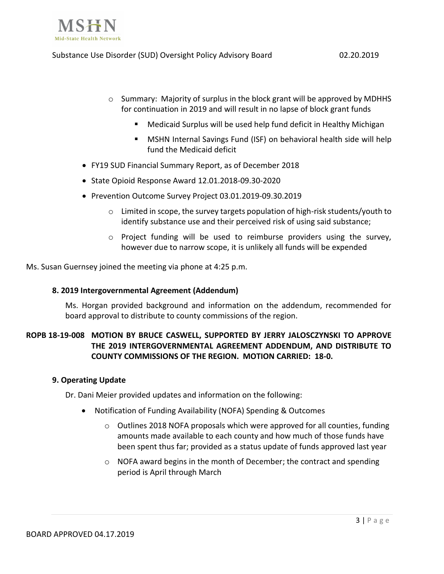

- o Summary: Majority of surplus in the block grant will be approved by MDHHS for continuation in 2019 and will result in no lapse of block grant funds
	- Medicaid Surplus will be used help fund deficit in Healthy Michigan
	- MSHN Internal Savings Fund (ISF) on behavioral health side will help fund the Medicaid deficit
- FY19 SUD Financial Summary Report, as of December 2018
- State Opioid Response Award 12.01.2018-09.30-2020
- Prevention Outcome Survey Project 03.01.2019-09.30.2019
	- o Limited in scope, the survey targets population of high-risk students/youth to identify substance use and their perceived risk of using said substance;
	- $\circ$  Project funding will be used to reimburse providers using the survey, however due to narrow scope, it is unlikely all funds will be expended

Ms. Susan Guernsey joined the meeting via phone at 4:25 p.m.

### **8. 2019 Intergovernmental Agreement (Addendum)**

Ms. Horgan provided background and information on the addendum, recommended for board approval to distribute to county commissions of the region.

# **ROPB 18-19-008 MOTION BY BRUCE CASWELL, SUPPORTED BY JERRY JALOSCZYNSKI TO APPROVE THE 2019 INTERGOVERNMENTAL AGREEMENT ADDENDUM, AND DISTRIBUTE TO COUNTY COMMISSIONS OF THE REGION. MOTION CARRIED: 18-0.**

#### **9. Operating Update**

Dr. Dani Meier provided updates and information on the following:

- Notification of Funding Availability (NOFA) Spending & Outcomes
	- $\circ$  Outlines 2018 NOFA proposals which were approved for all counties, funding amounts made available to each county and how much of those funds have been spent thus far; provided as a status update of funds approved last year
	- o NOFA award begins in the month of December; the contract and spending period is April through March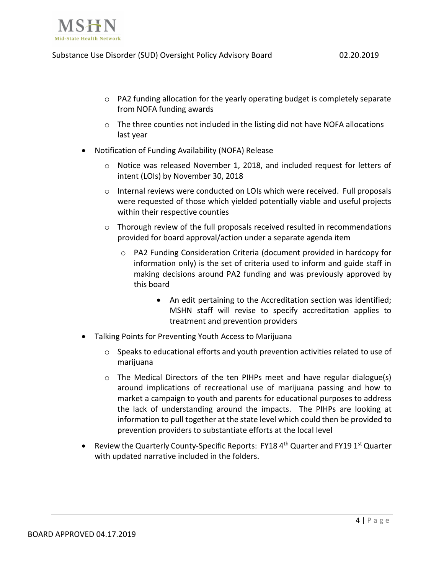

- $\circ$  PA2 funding allocation for the yearly operating budget is completely separate from NOFA funding awards
- $\circ$  The three counties not included in the listing did not have NOFA allocations last year
- Notification of Funding Availability (NOFA) Release
	- $\circ$  Notice was released November 1, 2018, and included request for letters of intent (LOIs) by November 30, 2018
	- o Internal reviews were conducted on LOIs which were received. Full proposals were requested of those which yielded potentially viable and useful projects within their respective counties
	- $\circ$  Thorough review of the full proposals received resulted in recommendations provided for board approval/action under a separate agenda item
		- o PA2 Funding Consideration Criteria (document provided in hardcopy for information only) is the set of criteria used to inform and guide staff in making decisions around PA2 funding and was previously approved by this board
			- An edit pertaining to the Accreditation section was identified; MSHN staff will revise to specify accreditation applies to treatment and prevention providers
- Talking Points for Preventing Youth Access to Marijuana
	- $\circ$  Speaks to educational efforts and youth prevention activities related to use of marijuana
	- o The Medical Directors of the ten PIHPs meet and have regular dialogue(s) around implications of recreational use of marijuana passing and how to market a campaign to youth and parents for educational purposes to address the lack of understanding around the impacts. The PIHPs are looking at information to pull together at the state level which could then be provided to prevention providers to substantiate efforts at the local level
- Review the Quarterly County-Specific Reports: FY18 4<sup>th</sup> Quarter and FY19 1<sup>st</sup> Quarter with updated narrative included in the folders.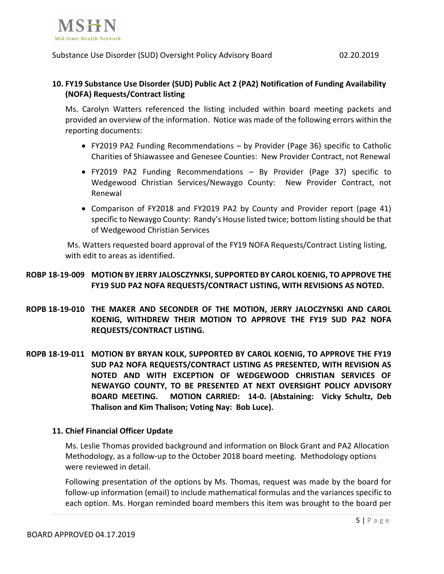

Substance Use Disorder (SUD) Oversight Policy Advisory Board 02.20.2019

# **10. FY19 Substance Use Disorder (SUD) Public Act 2 (PA2) Notification of Funding Availability (NOFA) Requests/Contract listing**

Ms. Carolyn Watters referenced the listing included within board meeting packets and provided an overview of the information. Notice was made of the following errors within the reporting documents:

- FY2019 PA2 Funding Recommendations by Provider (Page 36) specific to Catholic Charities of Shiawassee and Genesee Counties: New Provider Contract, not Renewal
- FY2019 PA2 Funding Recommendations By Provider (Page 37) specific to Wedgewood Christian Services/Newaygo County: New Provider Contract, not Renewal
- Comparison of FY2018 and FY2019 PA2 by County and Provider report (page 41) specific to Newaygo County: Randy's House listed twice; bottom listing should be that of Wedgewood Christian Services

Ms. Watters requested board approval of the FY19 NOFA Requests/Contract Listing listing, with edit to areas as identified.

# **ROBP 18-19-009 MOTION BY JERRY JALOSCZYNKSI, SUPPORTED BY CAROL KOENIG, TO APPROVE THE FY19 SUD PA2 NOFA REQUESTS/CONTRACT LISTING, WITH REVISIONS AS NOTED.**

- **ROPB 18-19-010 THE MAKER AND SECONDER OF THE MOTION, JERRY JALOCZYNSKI AND CAROL KOENIG, WITHDREW THEIR MOTION TO APPROVE THE FY19 SUD PA2 NOFA REQUESTS/CONTRACT LISTING.**
- **ROPB 18-19-011 MOTION BY BRYAN KOLK, SUPPORTED BY CAROL KOENIG, TO APPROVE THE FY19 SUD PA2 NOFA REQUESTS/CONTRACT LISTING AS PRESENTED, WITH REVISION AS NOTED AND WITH EXCEPTION OF WEDGEWOOD CHRISTIAN SERVICES OF NEWAYGO COUNTY, TO BE PRESENTED AT NEXT OVERSIGHT POLICY ADVISORY BOARD MEETING. MOTION CARRIED: 14-0. (Abstaining: Vicky Schultz, Deb Thalison and Kim Thalison; Voting Nay: Bob Luce).**

### **11. Chief Financial Officer Update**

Ms. Leslie Thomas provided background and information on Block Grant and PA2 Allocation Methodology, as a follow-up to the October 2018 board meeting. Methodology options were reviewed in detail.

Following presentation of the options by Ms. Thomas, request was made by the board for follow-up information (email) to include mathematical formulas and the variances specific to each option. Ms. Horgan reminded board members this item was brought to the board per